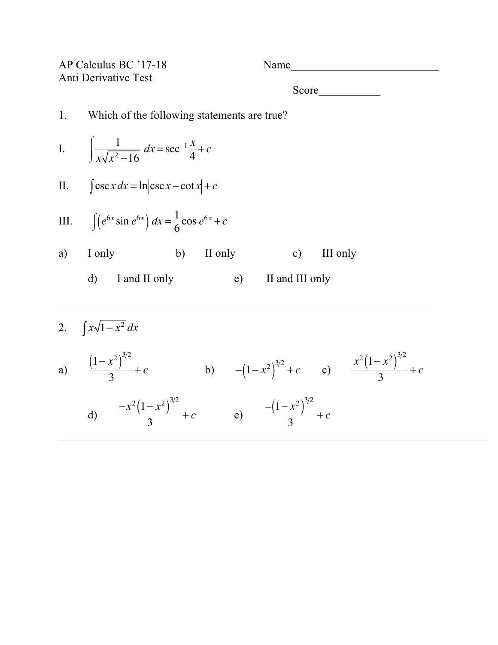AP Calculus BC '17-18 Name Anti Derivative Test Score and second second second second second second second second second second second second second second second second second second second second second second second second second second second second second second se 1. Which of the following statements are true? I.  $\left| \frac{1}{\sqrt{2}} \right|$  $x\sqrt{x^2-16}$  $\sqrt{ }$ ⌡  $\mathbf{I}$  $\int \frac{1}{x\sqrt{x^2-16}} dx = \sec^{-1}\frac{x}{4} + c$ II.  $\int \csc x \, dx = \ln |\csc x - \cot x| + c$ III.  $\int (e^{6x} \sin e^{6x}) dx = \frac{1}{6} \cos e^{6x} + c$ a) I only b) II only c) III only d) I and II only e) II and III only 2.  $\int x\sqrt{1-x^2} dx$ 

a)  $(1-x^2)^{3/2}$  $\frac{x^2}{3}$  + *c* b)  $-(1-x^2)^{3/2}$  + *c* c)  $x^2(1-x^2)^{3/2}$  $\frac{1}{3}$  + *c* d)  $\frac{-x^2(1-x^2)^{3/2}}{3} + c$  e)  $\frac{-(1-x^2)^{3/2}}{3}$  $\frac{1}{3}$  + *c*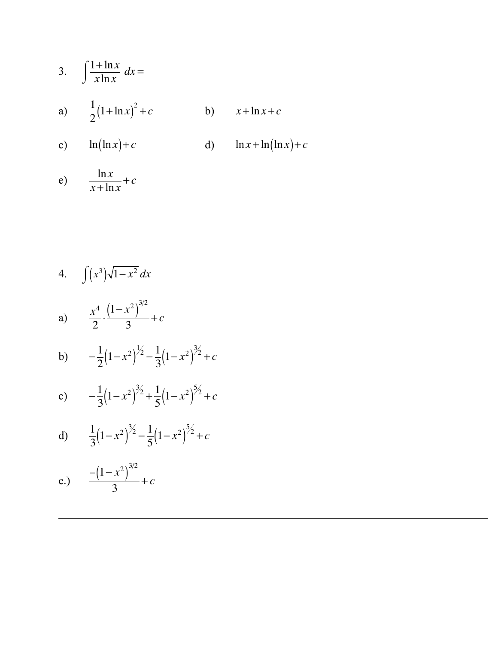3. 
$$
\int \frac{1 + \ln x}{x \ln x} dx =
$$
  
\na) 
$$
\frac{1}{2} (1 + \ln x)^2 + c
$$
  
\nb) 
$$
x + \ln x + c
$$
  
\nc) 
$$
\ln(\ln x) + c
$$
  
\nd) 
$$
\ln x + \ln(\ln x) + c
$$

e)  $\frac{\ln x}{x + \ln x} + c$ 

4. 
$$
\int (x^3)\sqrt{1-x^2} dx
$$
  
\na) 
$$
\frac{x^4}{2} \cdot \frac{(1-x^2)^{3/2}}{3} + c
$$
  
\nb) 
$$
-\frac{1}{2}(1-x^2)^{1/2} - \frac{1}{3}(1-x^2)^{3/2} + c
$$

c) 
$$
-\frac{1}{3}(1-x^2)^{3/2} + \frac{1}{5}(1-x^2)^{5/2} + c
$$

d) 
$$
\frac{1}{3}(1-x^2)^{3/2} - \frac{1}{5}(1-x^2)^{5/2} + c
$$

e.) 
$$
\frac{-{(1-x^2)}^{3/2}}{3} + c
$$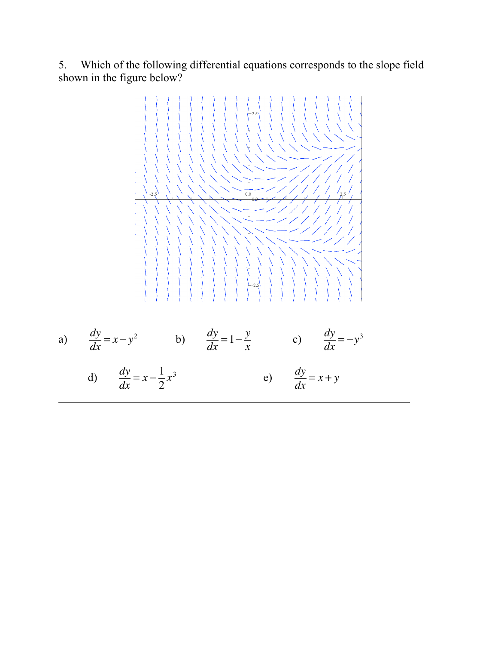5. Which of the following differential equations corresponds to the slope field shown in the figure below?

a) 
$$
\frac{dy}{dx} = x - y^2
$$
 b) 
$$
\frac{dy}{dx} = 1 - \frac{y}{x}
$$
 c) 
$$
\frac{dy}{dx} = -y^3
$$
 d) 
$$
\frac{dy}{dx} = x - \frac{1}{2}x^3
$$
 e) 
$$
\frac{dy}{dx} = x + y
$$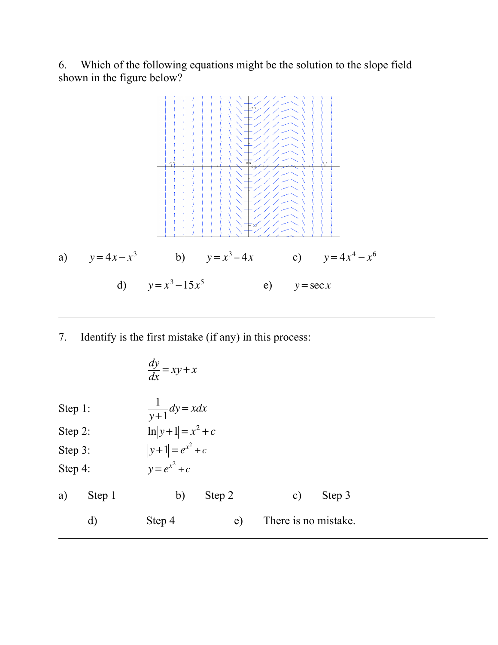6. Which of the following equations might be the solution to the slope field shown in the figure below?



7. Identify is the first mistake (if any) in this process:

| $\frac{dy}{dx} = xy + x$ |                                 |    |                      |    |        |
|--------------------------|---------------------------------|----|----------------------|----|--------|
| Step 1:                  | \n $\frac{1}{y+1} dy = x dx$ \n |    |                      |    |        |
| Step 2:                  | \n $\ln y+1  = x^2 + c$ \n      |    |                      |    |        |
| Step 3:                  | \n $ y+1  = e^{x^2} + c$ \n     |    |                      |    |        |
| Step 4:                  | \n $y = e^{x^2} + c$ \n         |    |                      |    |        |
| a)                       | Step 1                          | b) | Step 2               | c) | Step 3 |
| d)                       | Step 4                          | e) | There is no mistake. |    |        |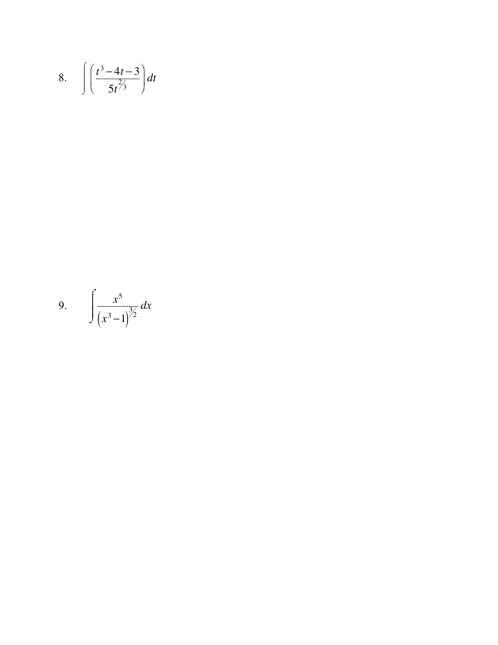8. 
$$
\int \left(\frac{t^3-4t-3}{5t^{2/3}}\right)dt
$$

9. 
$$
\int \frac{x^5}{(x^3 - 1)^{3/2}} dx
$$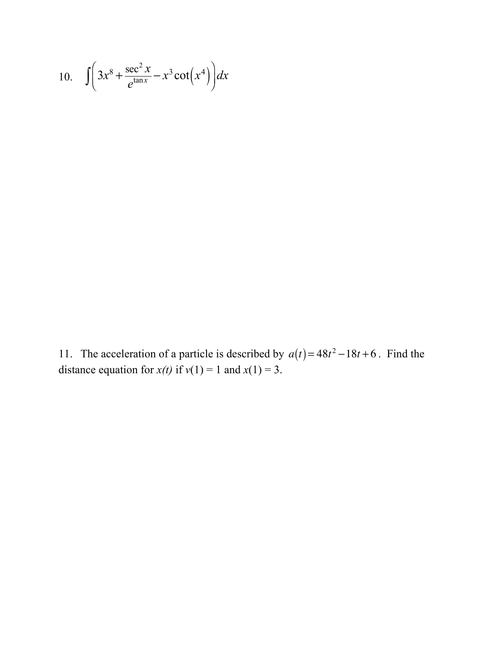10. 
$$
\int \left(3x^8 + \frac{\sec^2 x}{e^{\tan x}} - x^3 \cot(x^4)\right) dx
$$

11. The acceleration of a particle is described by  $a(t) = 48t^2 - 18t + 6$ . Find the distance equation for  $x(t)$  if  $v(1) = 1$  and  $x(1) = 3$ .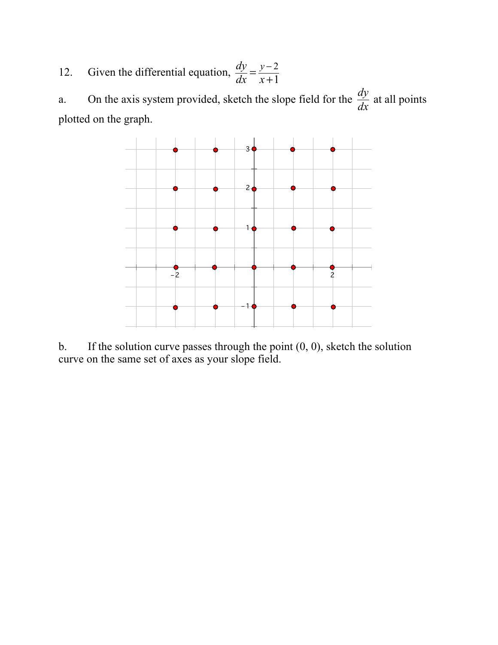12. Given the differential equation,  $\frac{dy}{dx} = \frac{y-2}{x+1}$ 

a. On the axis system provided, sketch the slope field for the  $\frac{dy}{dx}$  $\frac{dy}{dx}$  at all points plotted on the graph.



b. If the solution curve passes through the point  $(0, 0)$ , sketch the solution curve on the same set of axes as your slope field.